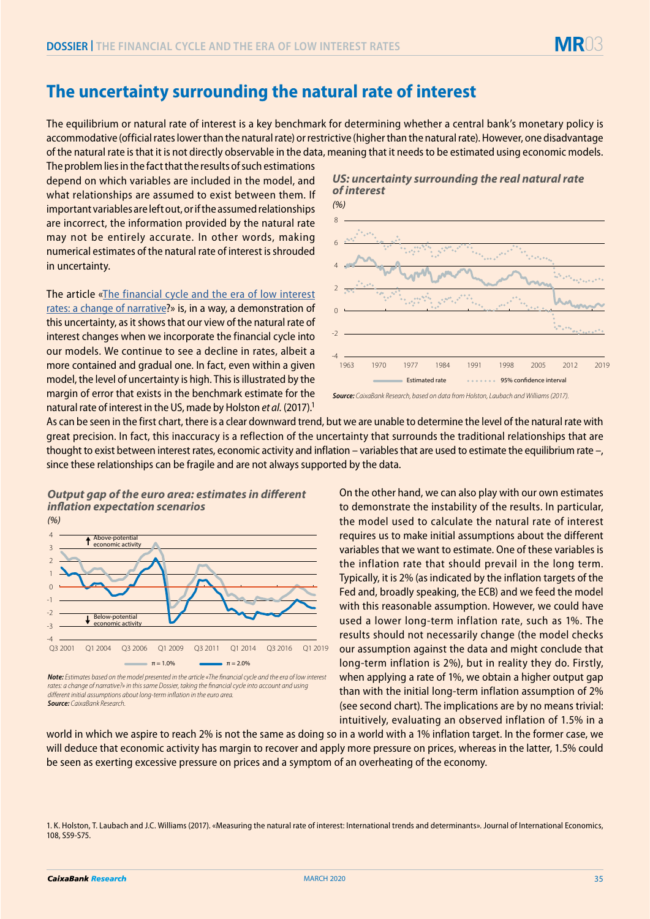

## **The uncertainty surrounding the natural rate of interest**

The equilibrium or natural rate of interest is a key benchmark for determining whether a central bank's monetary policy is accommodative (official rates lower than the natural rate) or restrictive (higher than the natural rate). However, one disadvantage of the natural rate is that it is not directly observable in the data, meaning that it needs to be estimated using economic models.

The problem lies in the fact that the results of such estimations depend on which variables are included in the model, and what relationships are assumed to exist between them. If important variables are left out, or if the assumed relationships are incorrect, the information provided by the natural rate may not be entirely accurate. In other words, making numerical estimates of the natural rate of interest is shrouded in uncertainty.

The article [«The financial cycle and the era of low interest](https://www.caixabankresearch.com/en/financial-cycle-and-era-low-interest-rates-change-narrative)  [rates: a change of narrative](https://www.caixabankresearch.com/en/financial-cycle-and-era-low-interest-rates-change-narrative)?» is, in a way, a demonstration of this uncertainty, as it shows that our view of the natural rate of interest changes when we incorporate the financial cycle into our models. We continue to see a decline in rates, albeit a more contained and gradual one. In fact, even within a given model, the level of uncertainty is high. This is illustrated by the margin of error that exists in the benchmark estimate for the natural rate of interest in the US, made by Holston *et al.* (2017).1







As can be seen in the first chart, there is a clear downward trend, but we are unable to determine the level of the natural rate with great precision. In fact, this inaccuracy is a reflection of the uncertainty that surrounds the traditional relationships that are thought to exist between interest rates, economic activity and inflation – variables that are used to estimate the equilibrium rate –, since these relationships can be fragile and are not always supported by the data.

## **Output gap of the euro area: estimates in different** *ination expectation scenarios*



*Note: Estimates based on the model presented in the article «The financial cycle and the era of low interest rates: a change of narrative?» in this same Dossier, taking the financial cycle into account and using different initial assumptions about long-term inflation in the euro area. Source: CaixaBank Research.*

On the other hand, we can also play with our own estimates to demonstrate the instability of the results. In particular, the model used to calculate the natural rate of interest requires us to make initial assumptions about the different variables that we want to estimate. One of these variables is the inflation rate that should prevail in the long term. Typically, it is 2% (as indicated by the inflation targets of the Fed and, broadly speaking, the ECB) and we feed the model with this reasonable assumption. However, we could have used a lower long-term inflation rate, such as 1%. The results should not necessarily change (the model checks our assumption against the data and might conclude that long-term inflation is 2%), but in reality they do. Firstly, when applying a rate of 1%, we obtain a higher output gap than with the initial long-term inflation assumption of 2% (see second chart). The implications are by no means trivial: intuitively, evaluating an observed inflation of 1.5% in a

world in which we aspire to reach 2% is not the same as doing so in a world with a 1% inflation target. In the former case, we will deduce that economic activity has margin to recover and apply more pressure on prices, whereas in the latter, 1.5% could be seen as exerting excessive pressure on prices and a symptom of an overheating of the economy.

<sup>1.</sup> K. Holston, T. Laubach and J.C. Williams (2017). «Measuring the natural rate of interest: International trends and determinants». Journal of International Economics, 108, S59-S75.